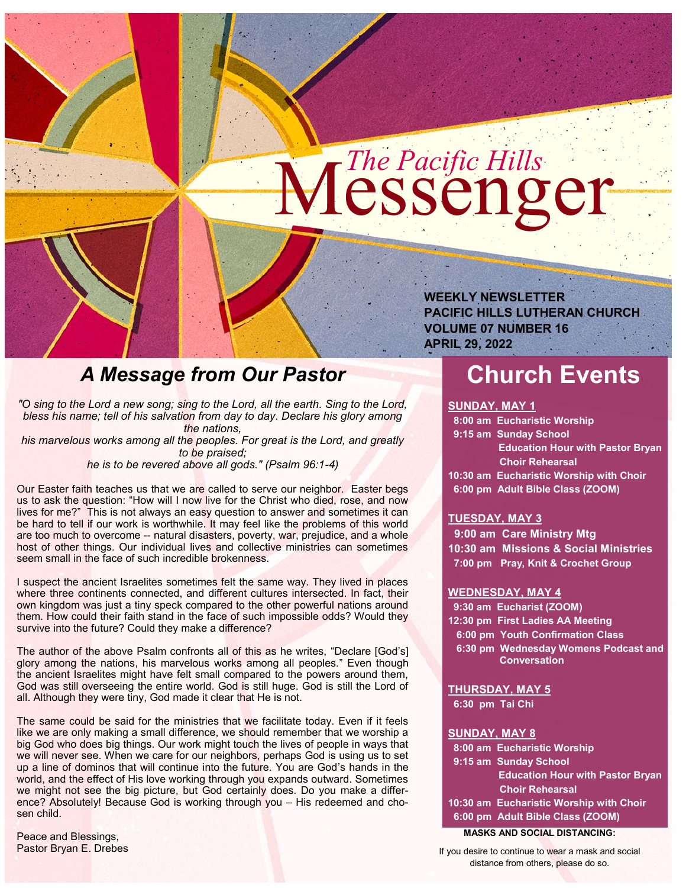# Messenger *The Pacific Hills*

**WEEKLY NEWSLETTER PACIFIC HILLS LUTHERAN CHURCH VOLUME 07 NUMBER 16 APRIL 29, 2022**

# *A Message from Our Pastor*

*"O sing to the Lord a new song; sing to the Lord, all the earth. Sing to the Lord, bless his name; tell of his salvation from day to day. Declare his glory among the nations,*

*his marvelous works among all the peoples. For great is the Lord, and greatly to be praised;*

*he is to be revered above all gods." (Psalm 96:1-4)*

Our Easter faith teaches us that we are called to serve our neighbor. Easter begs us to ask the question: "How will I now live for the Christ who died, rose, and now lives for me?" This is not always an easy question to answer and sometimes it can be hard to tell if our work is worthwhile. It may feel like the problems of this world are too much to overcome -- natural disasters, poverty, war, prejudice, and a whole host of other things. Our individual lives and collective ministries can sometimes seem small in the face of such incredible brokenness.

I suspect the ancient Israelites sometimes felt the same way. They lived in places where three continents connected, and different cultures intersected. In fact, their own kingdom was just a tiny speck compared to the other powerful nations around them. How could their faith stand in the face of such impossible odds? Would they survive into the future? Could they make a difference?

The author of the above Psalm confronts all of this as he writes, "Declare [God's] glory among the nations, his marvelous works among all peoples." Even though the ancient Israelites might have felt small compared to the powers around them, God was still overseeing the entire world. God is still huge. God is still the Lord of all. Although they were tiny, God made it clear that He is not.

The same could be said for the ministries that we facilitate today. Even if it feels like we are only making a small difference, we should remember that we worship a big God who does big things. Our work might touch the lives of people in ways that we will never see. When we care for our neighbors, perhaps God is using us to set up a line of dominos that will continue into the future. You are God's hands in the world, and the effect of His love working through you expands outward. Sometimes we might not see the big picture, but God certainly does. Do you make a difference? Absolutely! Because God is working through you – His redeemed and chosen child.

Peace and Blessings, Pastor Bryan E. Drebes

# **Church Events**

#### **SUNDAY, MAY 1**

 **8:00 am Eucharistic Worship 9:15 am Sunday School Education Hour with Pastor Bryan Choir Rehearsal 10:30 am Eucharistic Worship with Choir 6:00 pm Adult Bible Class (ZOOM)**

#### **TUESDAY, MAY 3**

 **9:00 am Care Ministry Mtg 10:30 am Missions & Social Ministries 7:00 pm Pray, Knit & Crochet Group**

#### **WEDNESDAY, MAY 4**

 **9:30 am Eucharist (ZOOM) 12:30 pm First Ladies AA Meeting 6:00 pm Youth Confirmation Class 6:30 pm Wednesday Womens Podcast and Conversation**

**THURSDAY, MAY 5**

 **6:30 pm Tai Chi**

#### **SUNDAY, MAY 8**

 **8:00 am Eucharistic Worship 9:15 am Sunday School Education Hour with Pastor Bryan Choir Rehearsal**

**10:30 am Eucharistic Worship with Choir 6:00 pm Adult Bible Class (ZOOM)**

**MASKS AND SOCIAL DISTANCING:**

If you desire to continue to wear a mask and social distance from others, please do so.